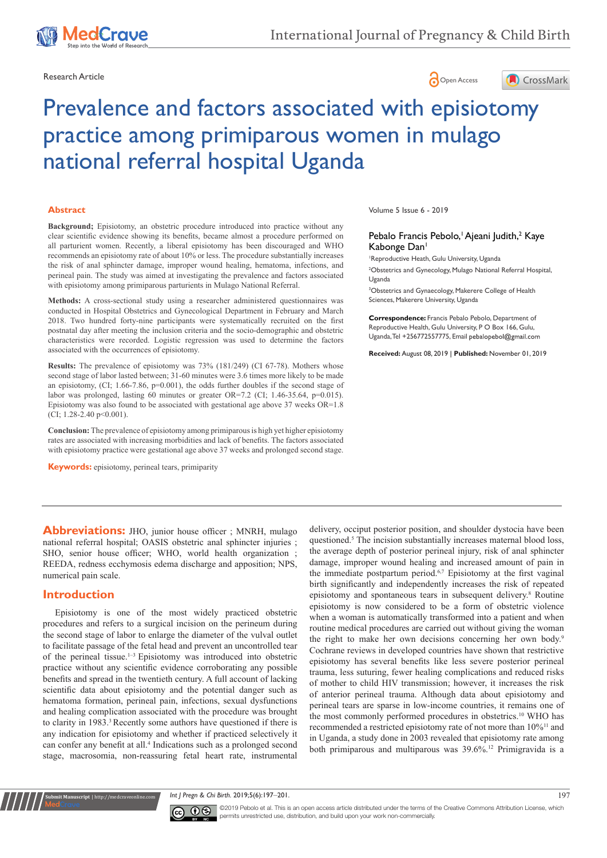





# Prevalence and factors associated with episiotomy practice among primiparous women in mulago national referral hospital Uganda

#### **Abstract**

**Background;** Episiotomy, an obstetric procedure introduced into practice without any clear scientific evidence showing its benefits, became almost a procedure performed on all parturient women. Recently, a liberal episiotomy has been discouraged and WHO recommends an episiotomy rate of about 10% or less. The procedure substantially increases the risk of anal sphincter damage, improper wound healing, hematoma, infections, and perineal pain. The study was aimed at investigating the prevalence and factors associated with episiotomy among primiparous parturients in Mulago National Referral.

**Methods:** A cross-sectional study using a researcher administered questionnaires was conducted in Hospital Obstetrics and Gynecological Department in February and March 2018. Two hundred forty-nine participants were systematically recruited on the first postnatal day after meeting the inclusion criteria and the socio-demographic and obstetric characteristics were recorded. Logistic regression was used to determine the factors associated with the occurrences of episiotomy.

**Results:** The prevalence of episiotomy was 73% (181/249) (CI 67-78). Mothers whose second stage of labor lasted between; 31-60 minutes were 3.6 times more likely to be made an episiotomy,  $(CI; 1.66-7.86, p=0.001)$ , the odds further doubles if the second stage of labor was prolonged, lasting 60 minutes or greater OR=7.2 (CI; 1.46-35.64, p=0.015). Episiotomy was also found to be associated with gestational age above 37 weeks OR=1.8 (CI; 1.28-2.40 p<0.001).

**Conclusion:** The prevalence of episiotomy among primiparous is high yet higher episiotomy rates are associated with increasing morbidities and lack of benefits. The factors associated with episiotomy practice were gestational age above 37 weeks and prolonged second stage.

**Keywords:** episiotomy, perineal tears, primiparity

Volume 5 Issue 6 - 2019

## Pebalo Francis Pebolo,<sup>1</sup> Ajeani Judith,<sup>2</sup> Kaye Kabonge Dan<sup>1</sup>

1 Reproductive Heath, Gulu University, Uganda

2 Obstetrics and Gynecology, Mulago National Referral Hospital, Uganda

3 Obstetrics and Gynaecology, Makerere College of Health Sciences, Makerere University, Uganda

**Correspondence:** Francis Pebalo Pebolo, Department of Reproductive Health, Gulu University, P O Box 166, Gulu, Uganda, Tel +256772557775, Email pebalopebol@gmail.com

**Received:** August 08, 2019 | **Published:** November 01, 2019

**Abbreviations:** JHO, junior house officer; MNRH, mulago national referral hospital; OASIS obstetric anal sphincter injuries ; SHO, senior house officer; WHO, world health organization ; REEDA, redness ecchymosis edema discharge and apposition; NPS, numerical pain scale.

# **Introduction**

**nit Manuscript** | http://medcraveonline.

Episiotomy is one of the most widely practiced obstetric procedures and refers to a surgical incision on the perineum during the second stage of labor to enlarge the diameter of the vulval outlet to facilitate passage of the fetal head and prevent an uncontrolled tear of the perineal tissue.<sup>1-3</sup> Episiotomy was introduced into obstetric practice without any scientific evidence corroborating any possible benefits and spread in the twentieth century. A full account of lacking scientific data about episiotomy and the potential danger such as hematoma formation, perineal pain, infections, sexual dysfunctions and healing complication associated with the procedure was brought to clarity in 1983.<sup>3</sup> Recently some authors have questioned if there is any indication for episiotomy and whether if practiced selectively it can confer any benefit at all.<sup>4</sup> Indications such as a prolonged second stage, macrosomia, non-reassuring fetal heart rate, instrumental

delivery, occiput posterior position, and shoulder dystocia have been questioned.<sup>5</sup> The incision substantially increases maternal blood loss, the average depth of posterior perineal injury, risk of anal sphincter damage, improper wound healing and increased amount of pain in the immediate postpartum period.<sup>6,7</sup> Episiotomy at the first vaginal birth significantly and independently increases the risk of repeated episiotomy and spontaneous tears in subsequent delivery.8 Routine episiotomy is now considered to be a form of obstetric violence when a woman is automatically transformed into a patient and when routine medical procedures are carried out without giving the woman the right to make her own decisions concerning her own body.<sup>9</sup> Cochrane reviews in developed countries have shown that restrictive episiotomy has several benefits like less severe posterior perineal trauma, less suturing, fewer healing complications and reduced risks of mother to child HIV transmission; however, it increases the risk of anterior perineal trauma. Although data about episiotomy and perineal tears are sparse in low-income countries, it remains one of the most commonly performed procedures in obstetrics.<sup>10</sup> WHO has recommended a restricted episiotomy rate of not more than 10%<sup>11</sup> and in Uganda, a study done in 2003 revealed that episiotomy rate among both primiparous and multiparous was 39.6%.12 Primigravida is a

*Int | Pregn & Chi Birth.* 2019;5(6):197–201. 197



©2019 Pebolo et al. This is an open access article distributed under the terms of the [Creative Commons Attribution License,](https://creativecommons.org/licenses/by-nc/4.0/) which permits unrestricted use, distribution, and build upon your work non-commercially.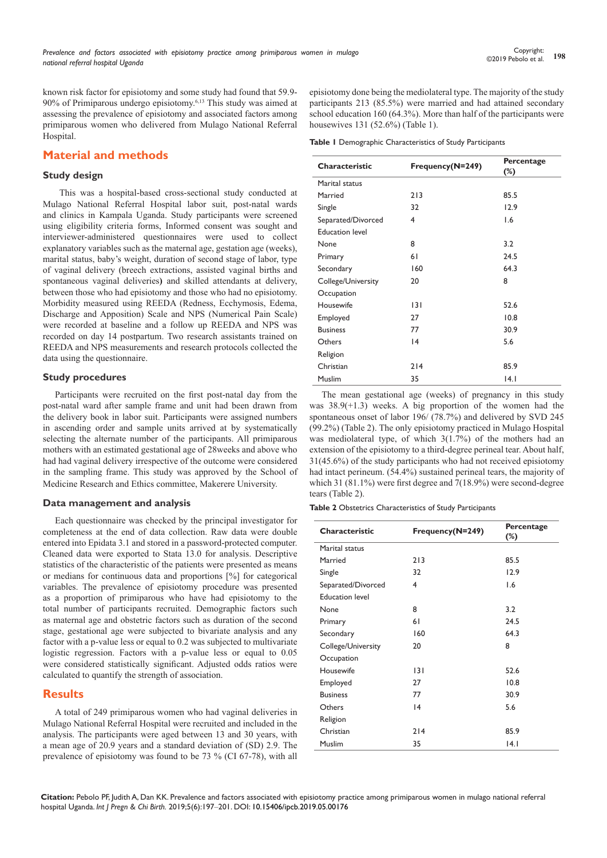known risk factor for episiotomy and some study had found that 59.9- 90% of Primiparous undergo episiotomy.6,13 This study was aimed at assessing the prevalence of episiotomy and associated factors among primiparous women who delivered from Mulago National Referral Hospital.

# **Material and methods**

## **Study design**

 This was a hospital-based cross-sectional study conducted at Mulago National Referral Hospital labor suit, post-natal wards and clinics in Kampala Uganda. Study participants were screened using eligibility criteria forms, Informed consent was sought and interviewer-administered questionnaires were used to collect explanatory variables such as the maternal age, gestation age (weeks), marital status, baby's weight, duration of second stage of labor, type of vaginal delivery (breech extractions, assisted vaginal births and spontaneous vaginal deliveries**)** and skilled attendants at delivery, between those who had episiotomy and those who had no episiotomy. Morbidity measured using REEDA (Redness, Ecchymosis, Edema, Discharge and Apposition) Scale and NPS (Numerical Pain Scale) were recorded at baseline and a follow up REEDA and NPS was recorded on day 14 postpartum. Two research assistants trained on REEDA and NPS measurements and research protocols collected the data using the questionnaire.

## **Study procedures**

Participants were recruited on the first post-natal day from the post-natal ward after sample frame and unit had been drawn from the delivery book in labor suit. Participants were assigned numbers in ascending order and sample units arrived at by systematically selecting the alternate number of the participants. All primiparous mothers with an estimated gestational age of 28weeks and above who had had vaginal delivery irrespective of the outcome were considered in the sampling frame. This study was approved by the School of Medicine Research and Ethics committee, Makerere University.

## **Data management and analysis**

Each questionnaire was checked by the principal investigator for completeness at the end of data collection. Raw data were double entered into Epidata 3.1 and stored in a password-protected computer. Cleaned data were exported to Stata 13.0 for analysis. Descriptive statistics of the characteristic of the patients were presented as means or medians for continuous data and proportions [%] for categorical variables. The prevalence of episiotomy procedure was presented as a proportion of primiparous who have had episiotomy to the total number of participants recruited. Demographic factors such as maternal age and obstetric factors such as duration of the second stage, gestational age were subjected to bivariate analysis and any factor with a p-value less or equal to 0.2 was subjected to multivariate logistic regression. Factors with a p-value less or equal to 0.05 were considered statistically significant. Adjusted odds ratios were calculated to quantify the strength of association.

# **Results**

A total of 249 primiparous women who had vaginal deliveries in Mulago National Referral Hospital were recruited and included in the analysis. The participants were aged between 13 and 30 years, with a mean age of 20.9 years and a standard deviation of (SD) 2.9. The prevalence of episiotomy was found to be 73 % (CI 67-78), with all

episiotomy done being the mediolateral type. The majority of the study participants 213 (85.5%) were married and had attained secondary school education 160 (64.3%). More than half of the participants were housewives 131 (52.6%) (Table 1).

**Table 1** Demographic Characteristics of Study Participants

| Characteristic         | Frequency(N=249) | Percentage<br>$(\%)$ |  |  |
|------------------------|------------------|----------------------|--|--|
| Marital status         |                  |                      |  |  |
| Married                | 213              | 85.5                 |  |  |
| Single                 | 32               | 12.9                 |  |  |
| Separated/Divorced     | 4                | 1.6                  |  |  |
| <b>Education level</b> |                  |                      |  |  |
| None                   | 8                | 3.2                  |  |  |
| Primary                | 61               | 24.5                 |  |  |
| Secondary              | 160              | 64.3                 |  |  |
| College/University     | 20               | 8                    |  |  |
| Occupation             |                  |                      |  |  |
| Housewife              | 3                | 52.6                 |  |  |
| Employed               | 27               | 10.8                 |  |  |
| <b>Business</b>        | 77               | 30.9                 |  |  |
| Others                 | 4                | 5.6                  |  |  |
| Religion               |                  |                      |  |  |
| Christian              | 214              | 85.9                 |  |  |
| Muslim                 | 35               | 4.                   |  |  |

The mean gestational age (weeks) of pregnancy in this study was 38.9(+1.3) weeks. A big proportion of the women had the spontaneous onset of labor 196/ (78.7%) and delivered by SVD 245 (99.2%) (Table 2). The only episiotomy practiced in Mulago Hospital was mediolateral type, of which 3(1.7%) of the mothers had an extension of the episiotomy to a third-degree perineal tear. About half, 31(45.6%) of the study participants who had not received episiotomy had intact perineum. (54.4%) sustained perineal tears, the majority of which 31 (81.1%) were first degree and 7(18.9%) were second-degree tears (Table 2).

**Table 2** Obstetrics Characteristics of Study Participants

| Characteristic         | Frequency(N=249) | Percentage<br>$(\%)$ |  |
|------------------------|------------------|----------------------|--|
| Marital status         |                  |                      |  |
| Married                | 213              | 85.5                 |  |
| Single                 | 32               | 12.9                 |  |
| Separated/Divorced     | 4                | 1.6                  |  |
| <b>Education level</b> |                  |                      |  |
| None                   | 8                | 3.2                  |  |
| Primary                | 61               | 24.5                 |  |
| Secondary              | 160              | 64.3                 |  |
| College/University     | 20               | 8                    |  |
| Occupation             |                  |                      |  |
| Housewife              | 3                | 52.6                 |  |
| Employed               | 27               | 10.8                 |  |
| <b>Business</b>        | 77               | 30.9                 |  |
| Others                 | 4                | 5.6                  |  |
| Religion               |                  |                      |  |
| Christian              | 214              | 85.9                 |  |
| <b>Muslim</b>          | 35               | 4.1                  |  |

**Citation:** Pebolo PF, Judith A, Dan KK. Prevalence and factors associated with episiotomy practice among primiparous women in mulago national referral hospital Uganda. *Int J Pregn & Chi Birth.* 2019;5(6):197‒201. DOI: [10.15406/ipcb.2019.05.00176](https://doi.org/10.15406/ipcb.2019.05.00176)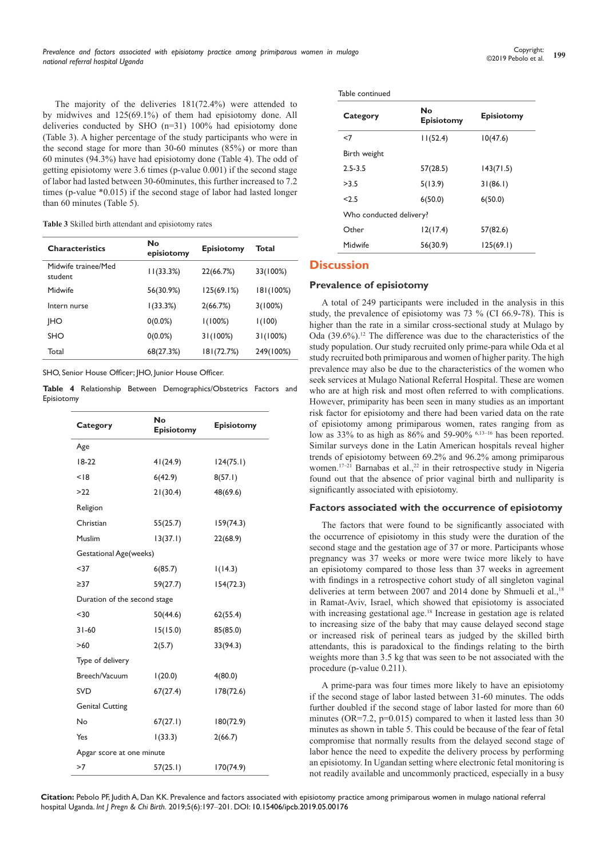The majority of the deliveries 181(72.4%) were attended to by midwives and 125(69.1%) of them had episiotomy done. All deliveries conducted by SHO (n=31) 100% had episiotomy done (Table 3). A higher percentage of the study participants who were in the second stage for more than 30-60 minutes (85%) or more than 60 minutes (94.3%) have had episiotomy done (Table 4). The odd of getting episiotomy were 3.6 times (p-value 0.001) if the second stage of labor had lasted between 30-60minutes, this further increased to 7.2 times (p-value \*0.015) if the second stage of labor had lasted longer than 60 minutes (Table 5).

**Table 3** Skilled birth attendant and episiotomy rates

| <b>Characteristics</b>         | No<br>episiotomy | <b>Episiotomy</b> | Total     |
|--------------------------------|------------------|-------------------|-----------|
| Midwife trainee/Med<br>student | 11(33.3%)        | 22(66.7%)         | 33(100%)  |
| Midwife                        | 56(30.9%)        | 125(69.1%)        | 181(100%) |
| Intern nurse                   | 1(33.3%)         | 2(66.7%)          | 3(100%)   |
| <b>IHO</b>                     | $0(0.0\%)$       | 1(100%)           | 1(100)    |
| <b>SHO</b>                     | $0(0.0\%)$       | 31(100%)          | 31(100%)  |
| Total                          | 68(27.3%)        | 181(72.7%)        | 249(100%) |

SHO, Senior House Officer; JHO, Junior House Officer.

**Table 4** Relationship Between Demographics/Obstetrics Factors and Episiotomy

| Category                     | No<br>Episiotomy | Episiotomy |  |  |  |  |  |
|------------------------------|------------------|------------|--|--|--|--|--|
| Age                          |                  |            |  |  |  |  |  |
| $18-22$                      | 41(24.9)         | 124(75.1)  |  |  |  |  |  |
| < 18                         | 6(42.9)          | 8(57.1)    |  |  |  |  |  |
| >22                          | 21(30.4)         | 48(69.6)   |  |  |  |  |  |
| Religion                     |                  |            |  |  |  |  |  |
| Christian                    | 55(25.7)         | 159(74.3)  |  |  |  |  |  |
| Muslim                       | 13(37.1)         | 22(68.9)   |  |  |  |  |  |
| Gestational Age(weeks)       |                  |            |  |  |  |  |  |
| $37$                         | 6(85.7)          | 1(14.3)    |  |  |  |  |  |
| $\geq$ 37                    | 59(27.7)         | 154(72.3)  |  |  |  |  |  |
| Duration of the second stage |                  |            |  |  |  |  |  |
| $30$                         | 50(44.6)         | 62(55.4)   |  |  |  |  |  |
| $31 - 60$                    | 15(15.0)         | 85(85.0)   |  |  |  |  |  |
| >60                          | 2(5.7)           | 33(94.3)   |  |  |  |  |  |
| Type of delivery             |                  |            |  |  |  |  |  |
| Breech/Vacuum                | 1(20.0)          | 4(80.0)    |  |  |  |  |  |
| <b>SVD</b>                   | 67(27.4)         | 178(72.6)  |  |  |  |  |  |
| <b>Genital Cutting</b>       |                  |            |  |  |  |  |  |
| No                           | 67(27.1)         | 180(72.9)  |  |  |  |  |  |
| Yes                          | 1(33.3)          | 2(66.7)    |  |  |  |  |  |
| Apgar score at one minute    |                  |            |  |  |  |  |  |
| >7                           | 57(25.1)         | 170(74.9)  |  |  |  |  |  |

| Table continued         |                         |                   |  |  |  |
|-------------------------|-------------------------|-------------------|--|--|--|
| Category                | No<br><b>Episiotomy</b> | <b>Episiotomy</b> |  |  |  |
| $<$ 7                   | 11(52.4)                | 10(47.6)          |  |  |  |
| Birth weight            |                         |                   |  |  |  |
| $2.5 - 3.5$             | 57(28.5)                | 143(71.5)         |  |  |  |
| >3.5                    | 5(13.9)                 | 31(86.1)          |  |  |  |
| 2.5                     | 6(50.0)                 | 6(50.0)           |  |  |  |
| Who conducted delivery? |                         |                   |  |  |  |
| Other                   | 12(17.4)                | 57(82.6)          |  |  |  |
| Midwife                 | 56(30.9)                | 125(69.1)         |  |  |  |

# **Discussion**

## **Prevalence of episiotomy**

A total of 249 participants were included in the analysis in this study, the prevalence of episiotomy was 73 % (CI 66.9-78). This is higher than the rate in a similar cross-sectional study at Mulago by Oda (39.6%).12 The difference was due to the characteristics of the study population. Our study recruited only prime-para while Oda et al study recruited both primiparous and women of higher parity. The high prevalence may also be due to the characteristics of the women who seek services at Mulago National Referral Hospital. These are women who are at high risk and most often referred to with complications. However, primiparity has been seen in many studies as an important risk factor for episiotomy and there had been varied data on the rate of episiotomy among primiparous women, rates ranging from as low as 33% to as high as 86% and 59-90% 6,13-16 has been reported. Similar surveys done in the Latin American hospitals reveal higher trends of episiotomy between 69.2% and 96.2% among primiparous women.<sup>17–21</sup> Barnabas et al.,<sup>22</sup> in their retrospective study in Nigeria found out that the absence of prior vaginal birth and nulliparity is significantly associated with episiotomy.

## **Factors associated with the occurrence of episiotomy**

The factors that were found to be significantly associated with the occurrence of episiotomy in this study were the duration of the second stage and the gestation age of 37 or more. Participants whose pregnancy was 37 weeks or more were twice more likely to have an episiotomy compared to those less than 37 weeks in agreement with findings in a retrospective cohort study of all singleton vaginal deliveries at term between 2007 and 2014 done by Shmueli et al.,<sup>18</sup> in Ramat-Aviv, Israel, which showed that episiotomy is associated with increasing gestational age.<sup>18</sup> Increase in gestation age is related to increasing size of the baby that may cause delayed second stage or increased risk of perineal tears as judged by the skilled birth attendants, this is paradoxical to the findings relating to the birth weights more than 3.5 kg that was seen to be not associated with the procedure (p-value 0.211).

A prime-para was four times more likely to have an episiotomy if the second stage of labor lasted between 31-60 minutes. The odds further doubled if the second stage of labor lasted for more than 60 minutes (OR=7.2, p=0.015) compared to when it lasted less than 30 minutes as shown in table 5. This could be because of the fear of fetal compromise that normally results from the delayed second stage of labor hence the need to expedite the delivery process by performing an episiotomy. In Ugandan setting where electronic fetal monitoring is not readily available and uncommonly practiced, especially in a busy

**Citation:** Pebolo PF, Judith A, Dan KK. Prevalence and factors associated with episiotomy practice among primiparous women in mulago national referral hospital Uganda. *Int J Pregn & Chi Birth.* 2019;5(6):197‒201. DOI: [10.15406/ipcb.2019.05.00176](https://doi.org/10.15406/ipcb.2019.05.00176)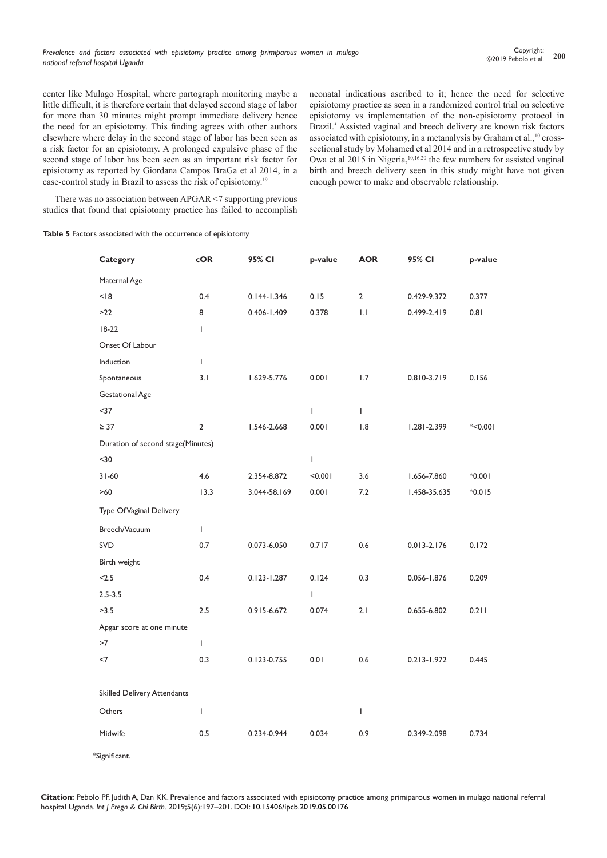center like Mulago Hospital, where partograph monitoring maybe a little difficult, it is therefore certain that delayed second stage of labor for more than 30 minutes might prompt immediate delivery hence the need for an episiotomy. This finding agrees with other authors elsewhere where delay in the second stage of labor has been seen as a risk factor for an episiotomy. A prolonged expulsive phase of the second stage of labor has been seen as an important risk factor for episiotomy as reported by Giordana Campos BraGa et al 2014, in a case-control study in Brazil to assess the risk of episiotomy.19

neonatal indications ascribed to it; hence the need for selective episiotomy practice as seen in a randomized control trial on selective episiotomy vs implementation of the non-episiotomy protocol in Brazil.<sup>5</sup> Assisted vaginal and breech delivery are known risk factors associated with episiotomy, in a metanalysis by Graham et al.,<sup>10</sup> crosssectional study by Mohamed et al 2014 and in a retrospective study by Owa et al 2015 in Nigeria,<sup>10,16,20</sup> the few numbers for assisted vaginal birth and breech delivery seen in this study might have not given enough power to make and observable relationship.

There was no association between APGAR <7 supporting previous studies that found that episiotomy practice has failed to accomplish

|  |  |  |  |  | Table 5 Factors associated with the occurrence of episiotomy |  |  |
|--|--|--|--|--|--------------------------------------------------------------|--|--|
|--|--|--|--|--|--------------------------------------------------------------|--|--|

| Category                          | $\mathsf{coR}$ | 95% CI          | p-value      | <b>AOR</b>     | 95% CI          | p-value   |  |  |
|-----------------------------------|----------------|-----------------|--------------|----------------|-----------------|-----------|--|--|
| Maternal Age                      |                |                 |              |                |                 |           |  |  |
| < 18                              | 0.4            | $0.144 - 1.346$ | 0.15         | $\overline{2}$ | 0.429-9.372     | 0.377     |  |  |
| $>22$                             | 8              | $0.406 - 1.409$ | 0.378        | 1.1            | $0.499 - 2.419$ | 0.81      |  |  |
| $18-22$                           | $\mathbf{I}$   |                 |              |                |                 |           |  |  |
| Onset Of Labour                   |                |                 |              |                |                 |           |  |  |
| Induction                         | $\mathsf{L}$   |                 |              |                |                 |           |  |  |
| Spontaneous                       | 3.1            | 1.629-5.776     | 0.001        | 1.7            | 0.810-3.719     | 0.156     |  |  |
| <b>Gestational Age</b>            |                |                 |              |                |                 |           |  |  |
| $37$                              |                |                 | $\mathsf{L}$ | $\mathbf{I}$   |                 |           |  |  |
| $\geq$ 37                         | 2              | 1.546-2.668     | 0.001        | 1.8            | 1.281-2.399     | $*<0.001$ |  |  |
| Duration of second stage(Minutes) |                |                 |              |                |                 |           |  |  |
| $30$                              |                |                 | L            |                |                 |           |  |  |
| $31 - 60$                         | 4.6            | 2.354-8.872     | < 0.001      | 3.6            | 1.656-7.860     | $*0.001$  |  |  |
| $>60$                             | 13.3           | 3.044-58.169    | 0.001        | $7.2\,$        | 1.458-35.635    | $*0.015$  |  |  |
| Type Of Vaginal Delivery          |                |                 |              |                |                 |           |  |  |
| Breech/Vacuum                     | $\mathbf{I}$   |                 |              |                |                 |           |  |  |
| <b>SVD</b>                        | 0.7            | 0.073-6.050     | 0.717        | 0.6            | $0.013 - 2.176$ | 0.172     |  |  |
| Birth weight                      |                |                 |              |                |                 |           |  |  |
| < 2.5                             | 0.4            | $0.123 - 1.287$ | 0.124        | 0.3            | 0.056-1.876     | 0.209     |  |  |
| $2.5 - 3.5$                       |                |                 | L            |                |                 |           |  |  |
| >3.5                              | 2.5            | 0.915-6.672     | 0.074        | 2.1            | 0.655-6.802     | 0.211     |  |  |
| Apgar score at one minute         |                |                 |              |                |                 |           |  |  |
| >7                                | $\mathbf{I}$   |                 |              |                |                 |           |  |  |
| $<$ 7                             | 0.3            | 0.123-0.755     | 0.01         | 0.6            | $0.213 - 1.972$ | 0.445     |  |  |
|                                   |                |                 |              |                |                 |           |  |  |
| Skilled Delivery Attendants       |                |                 |              |                |                 |           |  |  |
| Others                            | $\mathbf{I}$   |                 |              | $\mathbf{I}$   |                 |           |  |  |
| Midwife                           | 0.5            | 0.234-0.944     | 0.034        | 0.9            | 0.349-2.098     | 0.734     |  |  |
|                                   |                |                 |              |                |                 |           |  |  |

\*Significant.

**Citation:** Pebolo PF, Judith A, Dan KK. Prevalence and factors associated with episiotomy practice among primiparous women in mulago national referral hospital Uganda. *Int J Pregn & Chi Birth.* 2019;5(6):197‒201. DOI: [10.15406/ipcb.2019.05.00176](https://doi.org/10.15406/ipcb.2019.05.00176)